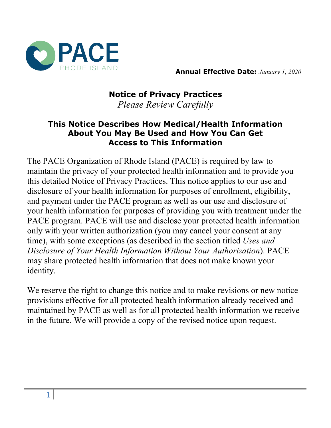

**Annual Effective Date:** *January 1, 2020* 

# **Notice of Privacy Practices** *Please Review Carefully*

#### **This Notice Describes How Medical/Health Information About You May Be Used and How You Can Get Access to This Information**

The PACE Organization of Rhode Island (PACE) is required by law to maintain the privacy of your protected health information and to provide you this detailed Notice of Privacy Practices. This notice applies to our use and disclosure of your health information for purposes of enrollment, eligibility, and payment under the PACE program as well as our use and disclosure of your health information for purposes of providing you with treatment under the PACE program. PACE will use and disclose your protected health information only with your written authorization (you may cancel your consent at any time), with some exceptions (as described in the section titled *Uses and Disclosure of Your Health Information Without Your Authorization*). PACE may share protected health information that does not make known your identity.

We reserve the right to change this notice and to make revisions or new notice provisions effective for all protected health information already received and maintained by PACE as well as for all protected health information we receive in the future. We will provide a copy of the revised notice upon request.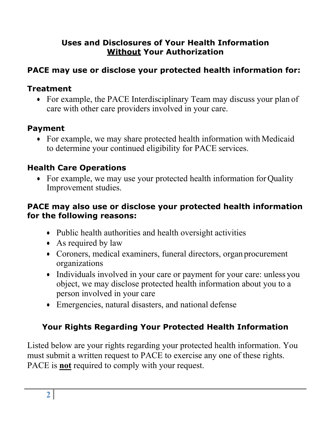## **Uses and Disclosures of Your Health Information Without Your Authorization**

# **PACE may use or disclose your protected health information for:**

## **Treatment**

• For example, the PACE Interdisciplinary Team may discuss your plan of care with other care providers involved in your care.

## **Payment**

• For example, we may share protected health information with Medicaid to determine your continued eligibility for PACE services.

# **Health Care Operations**

• For example, we may use your protected health information for Quality Improvement studies.

#### **PACE may also use or disclose your protected health information for the following reasons:**

- Public health authorities and health oversight activities
- As required by law
- Coroners, medical examiners, funeral directors, organ procurement organizations
- Individuals involved in your care or payment for your care: unless you object, we may disclose protected health information about you to a person involved in your care
- Emergencies, natural disasters, and national defense

# **Your Rights Regarding Your Protected Health Information**

Listed below are your rights regarding your protected health information. You must submit a written request to PACE to exercise any one of these rights. PACE is **not** required to comply with your request.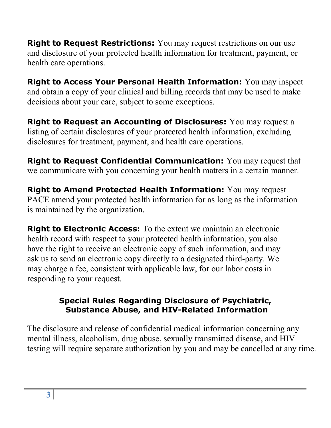**Right to Request Restrictions:** You may request restrictions on our use and disclosure of your protected health information for treatment, payment, or health care operations.

**Right to Access Your Personal Health Information:** You may inspect and obtain a copy of your clinical and billing records that may be used to make decisions about your care, subject to some exceptions.

**Right to Request an Accounting of Disclosures:** You may request a listing of certain disclosures of your protected health information, excluding disclosures for treatment, payment, and health care operations.

**Right to Request Confidential Communication:** You may request that we communicate with you concerning your health matters in a certain manner.

**Right to Amend Protected Health Information:** You may request PACE amend your protected health information for as long as the information is maintained by the organization.

**Right to Electronic Access:** To the extent we maintain an electronic health record with respect to your protected health information, you also have the right to receive an electronic copy of such information, and may ask us to send an electronic copy directly to a designated third-party. We may charge a fee, consistent with applicable law, for our labor costs in responding to your request.

#### **Special Rules Regarding Disclosure of Psychiatric, Substance Abuse, and HIV-Related Information**

The disclosure and release of confidential medical information concerning any mental illness, alcoholism, drug abuse, sexually transmitted disease, and HIV testing will require separate authorization by you and may be cancelled at any time.